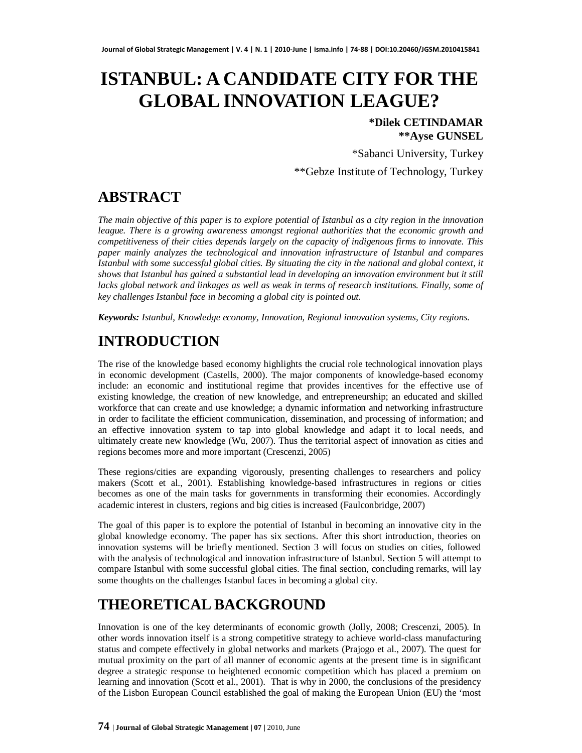# **ISTANBUL: A CANDIDATE CITY FOR THE GLOBAL INNOVATION LEAGUE?**

#### **\*Dilek CETINDAMAR \*\*Ayse GUNSEL**

\*Sabanci University, Turkey

\*\*Gebze Institute of Technology, Turkey

### **ABSTRACT**

*The main objective of this paper is to explore potential of Istanbul as a city region in the innovation league. There is a growing awareness amongst regional authorities that the economic growth and competitiveness of their cities depends largely on the capacity of indigenous firms to innovate. This paper mainly analyzes the technological and innovation infrastructure of Istanbul and compares Istanbul with some successful global cities. By situating the city in the national and global context, it shows that Istanbul has gained a substantial lead in developing an innovation environment but it still lacks global network and linkages as well as weak in terms of research institutions. Finally, some of key challenges Istanbul face in becoming a global city is pointed out.*

*Keywords: Istanbul, Knowledge economy, Innovation, Regional innovation systems, City regions.*

## **INTRODUCTION**

The rise of the knowledge based economy highlights the crucial role technological innovation plays in economic development (Castells, 2000). The major components of knowledge-based economy include: an economic and institutional regime that provides incentives for the effective use of existing knowledge, the creation of new knowledge, and entrepreneurship; an educated and skilled workforce that can create and use knowledge; a dynamic information and networking infrastructure in order to facilitate the efficient communication, dissemination, and processing of information; and an effective innovation system to tap into global knowledge and adapt it to local needs, and ultimately create new knowledge (Wu, 2007). Thus the territorial aspect of innovation as cities and regions becomes more and more important (Crescenzi, 2005)

These regions/cities are expanding vigorously, presenting challenges to researchers and policy makers (Scott et al., 2001). Establishing knowledge-based infrastructures in regions or cities becomes as one of the main tasks for governments in transforming their economies. Accordingly academic interest in clusters, regions and big cities is increased (Faulconbridge, 2007)

The goal of this paper is to explore the potential of Istanbul in becoming an innovative city in the global knowledge economy. The paper has six sections. After this short introduction, theories on innovation systems will be briefly mentioned. Section 3 will focus on studies on cities, followed with the analysis of technological and innovation infrastructure of Istanbul. Section 5 will attempt to compare Istanbul with some successful global cities. The final section, concluding remarks, will lay some thoughts on the challenges Istanbul faces in becoming a global city.

### **THEORETICAL BACKGROUND**

Innovation is one of the key determinants of economic growth (Jolly, 2008; Crescenzi, 2005). In other words innovation itself is a strong competitive strategy to achieve world-class manufacturing status and compete effectively in global networks and markets (Prajogo et al., 2007). The quest for mutual proximity on the part of all manner of economic agents at the present time is in significant degree a strategic response to heightened economic competition which has placed a premium on learning and innovation (Scott et al., 2001). That is why in 2000, the conclusions of the presidency of the Lisbon European Council established the goal of making the European Union (EU) the 'most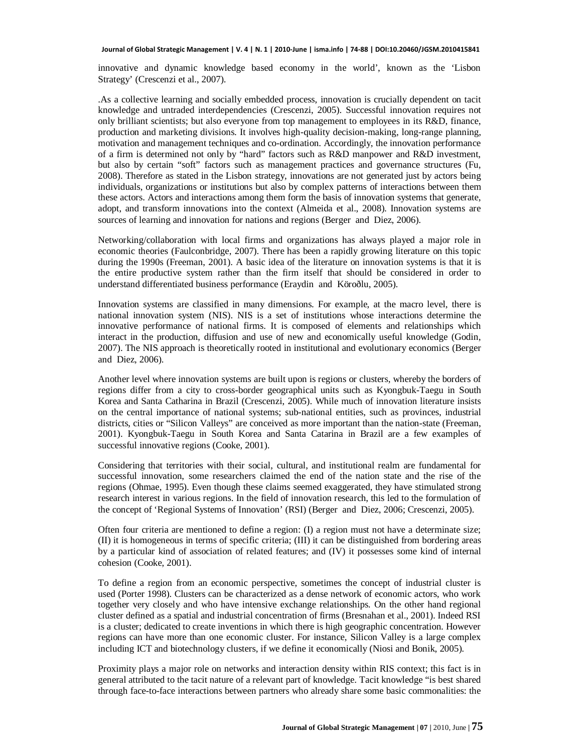innovative and dynamic knowledge based economy in the world', known as the 'Lisbon Strategy' (Crescenzi et al., 2007).

.As a collective learning and socially embedded process, innovation is crucially dependent on tacit knowledge and untraded interdependencies (Crescenzi, 2005). Successful innovation requires not only brilliant scientists; but also everyone from top management to employees in its R&D, finance, production and marketing divisions. It involves high-quality decision-making, long-range planning, motivation and management techniques and co-ordination. Accordingly, the innovation performance of a firm is determined not only by "hard" factors such as R&D manpower and R&D investment, but also by certain "soft" factors such as management practices and governance structures (Fu, 2008). Therefore as stated in the Lisbon strategy, innovations are not generated just by actors being individuals, organizations or institutions but also by complex patterns of interactions between them these actors. Actors and interactions among them form the basis of innovation systems that generate, adopt, and transform innovations into the context (Almeida et al., 2008). Innovation systems are sources of learning and innovation for nations and regions (Berger and Diez, 2006).

Networking/collaboration with local firms and organizations has always played a major role in economic theories (Faulconbridge, 2007). There has been a rapidly growing literature on this topic during the 1990s (Freeman, 2001). A basic idea of the literature on innovation systems is that it is the entire productive system rather than the firm itself that should be considered in order to understand differentiated business performance (Eraydin and Köroðlu, 2005).

Innovation systems are classified in many dimensions. For example, at the macro level, there is national innovation system (NIS). NIS is a set of institutions whose interactions determine the innovative performance of national firms. It is composed of elements and relationships which interact in the production, diffusion and use of new and economically useful knowledge (Godin, 2007). The NIS approach is theoretically rooted in institutional and evolutionary economics (Berger and Diez, 2006).

Another level where innovation systems are built upon is regions or clusters, whereby the borders of regions differ from a city to cross-border geographical units such as Kyongbuk-Taegu in South Korea and Santa Catharina in Brazil (Crescenzi, 2005). While much of innovation literature insists on the central importance of national systems; sub-national entities, such as provinces, industrial districts, cities or "Silicon Valleys" are conceived as more important than the nation-state (Freeman, 2001). Kyongbuk-Taegu in South Korea and Santa Catarina in Brazil are a few examples of successful innovative regions (Cooke, 2001).

Considering that territories with their social, cultural, and institutional realm are fundamental for successful innovation, some researchers claimed the end of the nation state and the rise of the regions (Ohmae, 1995). Even though these claims seemed exaggerated, they have stimulated strong research interest in various regions. In the field of innovation research, this led to the formulation of the concept of 'Regional Systems of Innovation' (RSI) (Berger and Diez, 2006; Crescenzi, 2005).

Often four criteria are mentioned to define a region: (I) a region must not have a determinate size; (II) it is homogeneous in terms of specific criteria; (III) it can be distinguished from bordering areas by a particular kind of association of related features; and (IV) it possesses some kind of internal cohesion (Cooke, 2001).

To define a region from an economic perspective, sometimes the concept of industrial cluster is used (Porter 1998). Clusters can be characterized as a dense network of economic actors, who work together very closely and who have intensive exchange relationships. On the other hand regional cluster defined as a spatial and industrial concentration of firms (Bresnahan et al., 2001). Indeed RSI is a cluster; dedicated to create inventions in which there is high geographic concentration. However regions can have more than one economic cluster. For instance, Silicon Valley is a large complex including ICT and biotechnology clusters, if we define it economically (Niosi and Bonik, 2005).

Proximity plays a major role on networks and interaction density within RIS context; this fact is in general attributed to the tacit nature of a relevant part of knowledge. Tacit knowledge "is best shared through face-to-face interactions between partners who already share some basic commonalities: the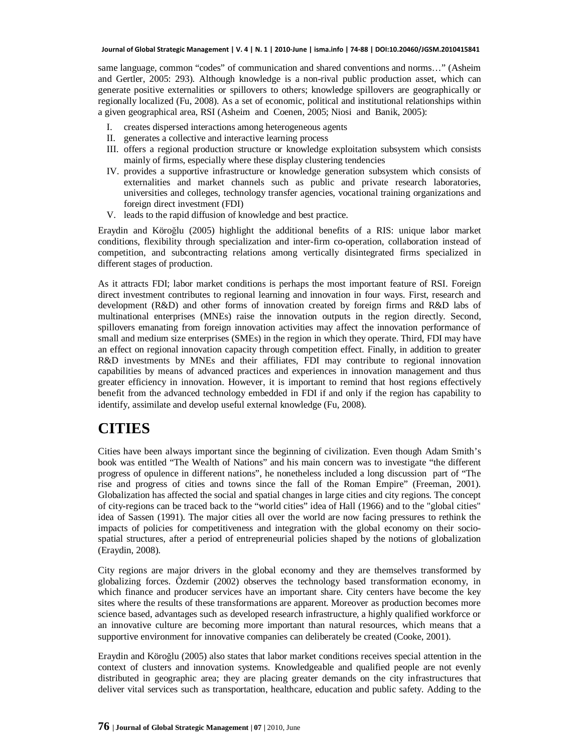same language, common "codes" of communication and shared conventions and norms…" (Asheim and Gertler, 2005: 293). Although knowledge is a non-rival public production asset, which can generate positive externalities or spillovers to others; knowledge spillovers are geographically or regionally localized (Fu, 2008). As a set of economic, political and institutional relationships within a given geographical area, RSI (Asheim and Coenen, 2005; Niosi and Banik, 2005):

- I. creates dispersed interactions among heterogeneous agents
- II. generates a collective and interactive learning process
- III. offers a regional production structure or knowledge exploitation subsystem which consists mainly of firms, especially where these display clustering tendencies
- IV. provides a supportive infrastructure or knowledge generation subsystem which consists of externalities and market channels such as public and private research laboratories, universities and colleges, technology transfer agencies, vocational training organizations and foreign direct investment (FDI)
- V. leads to the rapid diffusion of knowledge and best practice.

Eraydin and Köroğlu (2005) highlight the additional benefits of a RIS: unique labor market conditions, flexibility through specialization and inter-firm co-operation, collaboration instead of competition, and subcontracting relations among vertically disintegrated firms specialized in different stages of production.

As it attracts FDI; labor market conditions is perhaps the most important feature of RSI. Foreign direct investment contributes to regional learning and innovation in four ways. First, research and development (R&D) and other forms of innovation created by foreign firms and R&D labs of multinational enterprises (MNEs) raise the innovation outputs in the region directly. Second, spillovers emanating from foreign innovation activities may affect the innovation performance of small and medium size enterprises (SMEs) in the region in which they operate. Third, FDI may have an effect on regional innovation capacity through competition effect. Finally, in addition to greater R&D investments by MNEs and their affiliates, FDI may contribute to regional innovation capabilities by means of advanced practices and experiences in innovation management and thus greater efficiency in innovation. However, it is important to remind that host regions effectively benefit from the advanced technology embedded in FDI if and only if the region has capability to identify, assimilate and develop useful external knowledge (Fu, 2008).

#### **CITIES**

Cities have been always important since the beginning of civilization. Even though Adam Smith's book was entitled "The Wealth of Nations" and his main concern was to investigate "the different progress of opulence in different nations", he nonetheless included a long discussion part of "The rise and progress of cities and towns since the fall of the Roman Empire" (Freeman, 2001). Globalization has affected the social and spatial changes in large cities and city regions. The concept of city-regions can be traced back to the "world cities" idea of Hall (1966) and to the "global cities" idea of Sassen (1991). The major cities all over the world are now facing pressures to rethink the impacts of policies for competitiveness and integration with the global economy on their sociospatial structures, after a period of entrepreneurial policies shaped by the notions of globalization (Eraydin, 2008).

City regions are major drivers in the global economy and they are themselves transformed by globalizing forces. Özdemir (2002) observes the technology based transformation economy, in which finance and producer services have an important share. City centers have become the key sites where the results of these transformations are apparent. Moreover as production becomes more science based, advantages such as developed research infrastructure, a highly qualified workforce or an innovative culture are becoming more important than natural resources, which means that a supportive environment for innovative companies can deliberately be created (Cooke, 2001).

Eraydin and Köroğlu (2005) also states that labor market conditions receives special attention in the context of clusters and innovation systems. Knowledgeable and qualified people are not evenly distributed in geographic area; they are placing greater demands on the city infrastructures that deliver vital services such as transportation, healthcare, education and public safety. Adding to the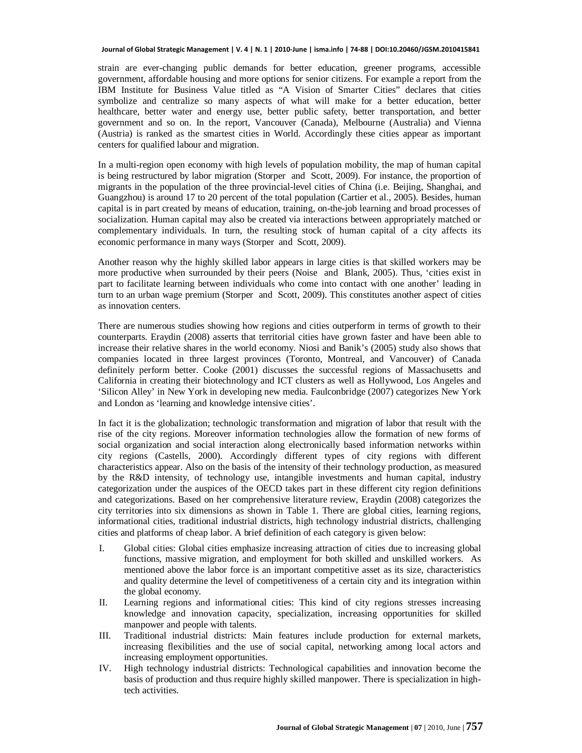strain are ever-changing public demands for better education, greener programs, accessible government, affordable housing and more options for senior citizens. For example a report from the IBM Institute for Business Value titled as "A Vision of Smarter Cities" declares that cities symbolize and centralize so many aspects of what will make for a better education, better healthcare, better water and energy use, better public safety, better transportation, and better government and so on. In the report, Vancouver (Canada), Melbourne (Australia) and Vienna (Austria) is ranked as the smartest cities in World. Accordingly these cities appear as important centers for qualified labour and migration.

In a multi-region open economy with high levels of population mobility, the map of human capital is being restructured by labor migration (Storper and Scott, 2009). For instance, the proportion of migrants in the population of the three provincial-level cities of China (i.e. Beijing, Shanghai, and Guangzhou) is around 17 to 20 percent of the total population (Cartier et al., 2005). Besides, human capital is in part created by means of education, training, on-the-job learning and broad processes of socialization. Human capital may also be created via interactions between appropriately matched or complementary individuals. In turn, the resulting stock of human capital of a city affects its economic performance in many ways (Storper and Scott, 2009).

Another reason why the highly skilled labor appears in large cities is that skilled workers may be more productive when surrounded by their peers (Noise and Blank, 2005). Thus, 'cities exist in part to facilitate learning between individuals who come into contact with one another' leading in turn to an urban wage premium (Storper and Scott, 2009). This constitutes another aspect of cities as innovation centers.

There are numerous studies showing how regions and cities outperform in terms of growth to their counterparts. Eraydin (2008) asserts that territorial cities have grown faster and have been able to increase their relative shares in the world economy. Niosi and Banik's (2005) study also shows that companies located in three largest provinces (Toronto, Montreal, and Vancouver) of Canada definitely perform better. Cooke (2001) discusses the successful regions of Massachusetts and California in creating their biotechnology and ICT clusters as well as Hollywood, Los Angeles and 'Silicon Alley' in New York in developing new media. Faulconbridge (2007) categorizes New York and London as 'learning and knowledge intensive cities'.

In fact it is the globalization; technologic transformation and migration of labor that result with the rise of the city regions. Moreover information technologies allow the formation of new forms of social organization and social interaction along electronically based information networks within city regions (Castells, 2000). Accordingly different types of city regions with different characteristics appear. Also on the basis of the intensity of their technology production, as measured by the R&D intensity, of technology use, intangible investments and human capital, industry categorization under the auspices of the OECD takes part in these different city region definitions and categorizations. Based on her comprehensive literature review, Eraydin (2008) categorizes the city territories into six dimensions as shown in Table 1. There are global cities, learning regions, informational cities, traditional industrial districts, high technology industrial districts, challenging cities and platforms of cheap labor. A brief definition of each category is given below:

- I. Global cities: Global cities emphasize increasing attraction of cities due to increasing global functions, massive migration, and employment for both skilled and unskilled workers. As mentioned above the labor force is an important competitive asset as its size, characteristics and quality determine the level of competitiveness of a certain city and its integration within the global economy.
- II. Learning regions and informational cities: This kind of city regions stresses increasing knowledge and innovation capacity, specialization, increasing opportunities for skilled manpower and people with talents.
- III. Traditional industrial districts: Main features include production for external markets, increasing flexibilities and the use of social capital, networking among local actors and increasing employment opportunities.
- IV. High technology industrial districts: Technological capabilities and innovation become the basis of production and thus require highly skilled manpower. There is specialization in hightech activities.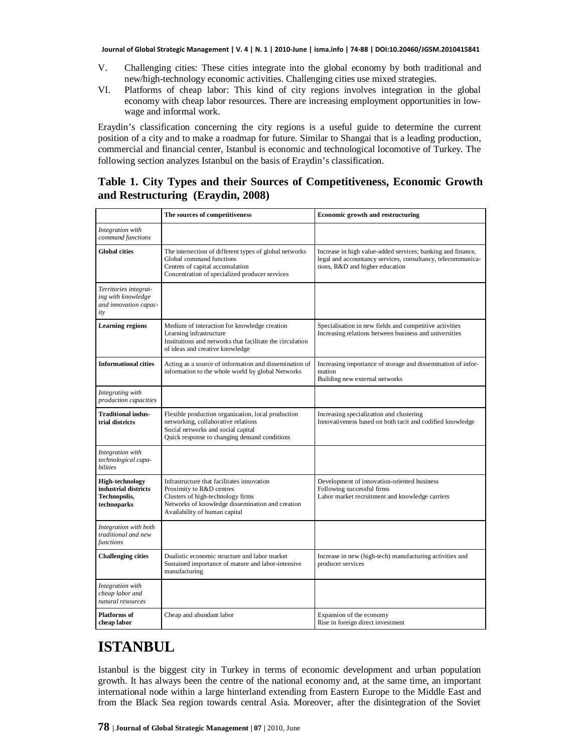- V. Challenging cities: These cities integrate into the global economy by both traditional and new/high-technology economic activities. Challenging cities use mixed strategies.
- VI. Platforms of cheap labor: This kind of city regions involves integration in the global economy with cheap labor resources. There are increasing employment opportunities in lowwage and informal work.

Eraydin's classification concerning the city regions is a useful guide to determine the current position of a city and to make a roadmap for future. Similar to Shangai that is a leading production, commercial and financial center, Istanbul is economic and technological locomotive of Turkey. The following section analyzes Istanbul on the basis of Eraydin's classification.

#### **Table 1. City Types and their Sources of Competitiveness, Economic Growth and Restructuring (Eraydin, 2008)**

|                                                                             | The sources of competitiveness                                                                                                                                                                   | <b>Economic growth and restructuring</b>                                                                                                                      |
|-----------------------------------------------------------------------------|--------------------------------------------------------------------------------------------------------------------------------------------------------------------------------------------------|---------------------------------------------------------------------------------------------------------------------------------------------------------------|
| Integration with<br>command functions                                       |                                                                                                                                                                                                  |                                                                                                                                                               |
| <b>Global cities</b>                                                        | The intersection of different types of global networks<br>Global command functions<br>Centres of capital accumulation<br>Concentration of specialized producer services                          | Increase in high value-added services; banking and finance,<br>legal and accountancy services, consultancy, telecommunica-<br>tions, R&D and higher education |
| Territories integrat-<br>ing with knowledge<br>and innovation capac-<br>ity |                                                                                                                                                                                                  |                                                                                                                                                               |
| <b>Learning regions</b>                                                     | Medium of interaction for knowledge creation<br>Learning infrastructure<br>Institutions and networks that facilitate the circulation<br>of ideas and creative knowledge                          | Specialisation in new fields and competitive activities<br>Increasing relations between business and universities                                             |
| <b>Informational cities</b>                                                 | Acting as a source of information and dissemination of<br>information to the whole world by global Networks                                                                                      | Increasing importance of storage and dissemination of infor-<br>mation<br>Building new external networks                                                      |
| Integrating with<br>production capacities                                   |                                                                                                                                                                                                  |                                                                                                                                                               |
| Traditional indus-<br>trial districts                                       | Flexible production organization, local production<br>networking, collaborative relations<br>Social networks and social capital<br>Quick response to changing demand conditions                  | Increasing specialization and clustering<br>Innovativeness based on both tacit and codified knowledge                                                         |
| Integration with<br>technological capa-<br>bilities                         |                                                                                                                                                                                                  |                                                                                                                                                               |
| High-technology<br>industrial districts<br>Technopolis,<br>technoparks      | Infrastructure that facilitates innovation<br>Proximity to R&D centres<br>Clusters of high-technology firms<br>Networks of knowledge dissemination and creation<br>Availability of human capital | Development of innovation-oriented business<br>Following successful firms<br>Labor market recruitment and knowledge carriers                                  |
| Integration with both<br>traditional and new<br>functions                   |                                                                                                                                                                                                  |                                                                                                                                                               |
| <b>Challenging cities</b>                                                   | Dualistic economic structure and labor market<br>Sustained importance of mature and labor-intensive<br>manufacturing                                                                             | Increase in new (high-tech) manufacturing activities and<br>producer services                                                                                 |
| Integration with<br>cheap labor and<br>natural resources                    |                                                                                                                                                                                                  |                                                                                                                                                               |
| Platforms of<br>cheap labor                                                 | Cheap and abundant labor                                                                                                                                                                         | Expansion of the economy<br>Rise in foreign direct investment                                                                                                 |

### **ISTANBUL**

Istanbul is the biggest city in Turkey in terms of economic development and urban population growth. It has always been the centre of the national economy and, at the same time, an important international node within a large hinterland extending from Eastern Europe to the Middle East and from the Black Sea region towards central Asia. Moreover, after the disintegration of the Soviet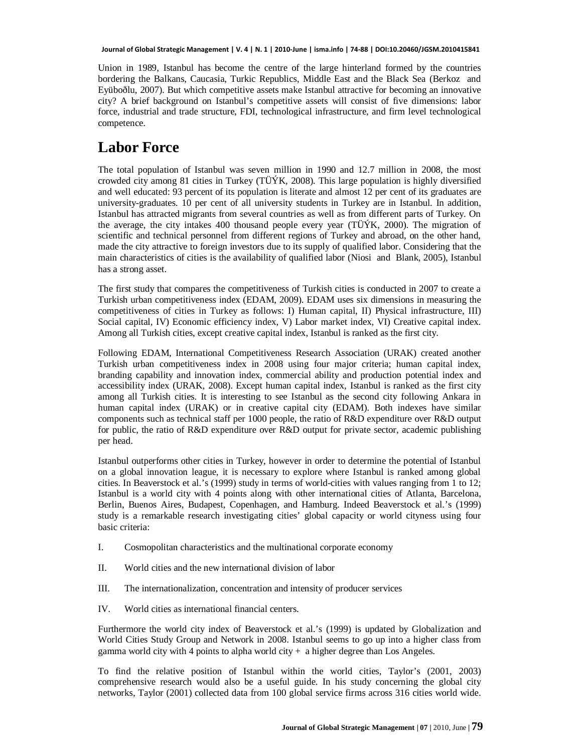Union in 1989, Istanbul has become the centre of the large hinterland formed by the countries bordering the Balkans, Caucasia, Turkic Republics, Middle East and the Black Sea (Berkoz and Eyüboðlu, 2007). But which competitive assets make Istanbul attractive for becoming an innovative city? A brief background on Istanbul's competitive assets will consist of five dimensions: labor force, industrial and trade structure, FDI, technological infrastructure, and firm level technological competence.

### **Labor Force**

The total population of Istanbul was seven million in 1990 and 12.7 million in 2008, the most crowded city among 81 cities in Turkey (TÜÝK, 2008). This large population is highly diversified and well educated: 93 percent of its population is literate and almost 12 per cent of its graduates are university-graduates. 10 per cent of all university students in Turkey are in Istanbul. In addition, Istanbul has attracted migrants from several countries as well as from different parts of Turkey. On the average, the city intakes 400 thousand people every year (TÜÝK, 2000). The migration of scientific and technical personnel from different regions of Turkey and abroad, on the other hand, made the city attractive to foreign investors due to its supply of qualified labor. Considering that the main characteristics of cities is the availability of qualified labor (Niosi and Blank, 2005), Istanbul has a strong asset.

The first study that compares the competitiveness of Turkish cities is conducted in 2007 to create a Turkish urban competitiveness index (EDAM, 2009). EDAM uses six dimensions in measuring the competitiveness of cities in Turkey as follows: I) Human capital, II) Physical infrastructure, III) Social capital, IV) Economic efficiency index, V) Labor market index, VI) Creative capital index. Among all Turkish cities, except creative capital index, Istanbul is ranked as the first city.

Following EDAM, International Competitiveness Research Association (URAK) created another Turkish urban competitiveness index in 2008 using four major criteria; human capital index, branding capability and innovation index, commercial ability and production potential index and accessibility index (URAK, 2008). Except human capital index, Istanbul is ranked as the first city among all Turkish cities. It is interesting to see Istanbul as the second city following Ankara in human capital index (URAK) or in creative capital city (EDAM). Both indexes have similar components such as technical staff per 1000 people, the ratio of R&D expenditure over R&D output for public, the ratio of R&D expenditure over R&D output for private sector, academic publishing per head.

Istanbul outperforms other cities in Turkey, however in order to determine the potential of Istanbul on a global innovation league, it is necessary to explore where Istanbul is ranked among global cities. In Beaverstock et al.'s (1999) study in terms of world-cities with values ranging from 1 to 12; Istanbul is a world city with 4 points along with other international cities of Atlanta, Barcelona, Berlin, Buenos Aires, Budapest, Copenhagen, and Hamburg. Indeed Beaverstock et al.'s (1999) study is a remarkable research investigating cities' global capacity or world cityness using four basic criteria:

- I. Cosmopolitan characteristics and the multinational corporate economy
- II. World cities and the new international division of labor
- III. The internationalization, concentration and intensity of producer services
- IV. World cities as international financial centers.

Furthermore the world city index of Beaverstock et al.'s (1999) is updated by Globalization and World Cities Study Group and Network in 2008. Istanbul seems to go up into a higher class from gamma world city with 4 points to alpha world city  $+$  a higher degree than Los Angeles.

To find the relative position of Istanbul within the world cities, Taylor's (2001, 2003) comprehensive research would also be a useful guide. In his study concerning the global city networks, Taylor (2001) collected data from 100 global service firms across 316 cities world wide.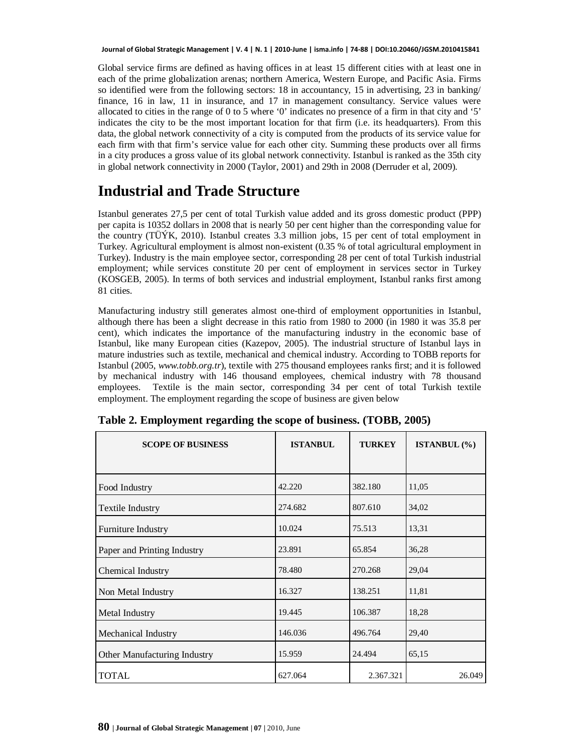Global service firms are defined as having offices in at least 15 different cities with at least one in each of the prime globalization arenas; northern America, Western Europe, and Pacific Asia. Firms so identified were from the following sectors: 18 in accountancy, 15 in advertising, 23 in banking/ finance, 16 in law, 11 in insurance, and 17 in management consultancy. Service values were allocated to cities in the range of 0 to 5 where '0' indicates no presence of a firm in that city and '5' indicates the city to be the most important location for that firm (i.e. its headquarters). From this data, the global network connectivity of a city is computed from the products of its service value for each firm with that firm's service value for each other city. Summing these products over all firms in a city produces a gross value of its global network connectivity. Istanbul is ranked as the 35th city in global network connectivity in 2000 (Taylor, 2001) and 29th in 2008 (Derruder et al, 2009).

### **Industrial and Trade Structure**

Istanbul generates 27,5 per cent of total Turkish value added and its gross domestic product (PPP) per capita is 10352 dollars in 2008 that is nearly 50 per cent higher than the corresponding value for the country (TÜÝK, 2010). Istanbul creates 3.3 million jobs, 15 per cent of total employment in Turkey. Agricultural employment is almost non-existent (0.35 % of total agricultural employment in Turkey). Industry is the main employee sector, corresponding 28 per cent of total Turkish industrial employment; while services constitute 20 per cent of employment in services sector in Turkey (KOSGEB, 2005). In terms of both services and industrial employment, Istanbul ranks first among 81 cities.

Manufacturing industry still generates almost one-third of employment opportunities in Istanbul, although there has been a slight decrease in this ratio from 1980 to 2000 (in 1980 it was 35.8 per cent), which indicates the importance of the manufacturing industry in the economic base of Istanbul, like many European cities (Kazepov, 2005). The industrial structure of Istanbul lays in mature industries such as textile, mechanical and chemical industry. According to TOBB reports for Istanbul (2005, *[www.tobb.org.tr](http://www.tobb.org.tr/)*), textile with 275 thousand employees ranks first; and it is followed by mechanical industry with 146 thousand employees, chemical industry with 78 thousand employees. Textile is the main sector, corresponding 34 per cent of total Turkish textile employment. The employment regarding the scope of business are given below

| <b>SCOPE OF BUSINESS</b>     | <b>ISTANBUL</b> | <b>TURKEY</b> | <b>ISTANBUL</b> $(\% )$ |
|------------------------------|-----------------|---------------|-------------------------|
|                              |                 |               |                         |
| Food Industry                | 42.220          | 382.180       | 11,05                   |
| Textile Industry             | 274.682         | 807.610       | 34,02                   |
| Furniture Industry           | 10.024          | 75.513        | 13,31                   |
| Paper and Printing Industry  | 23.891          | 65.854        | 36,28                   |
| Chemical Industry            | 78.480          | 270.268       | 29,04                   |
| Non Metal Industry           | 16.327          | 138.251       | 11,81                   |
| Metal Industry               | 19.445          | 106.387       | 18,28                   |
| Mechanical Industry          | 146.036         | 496.764       | 29,40                   |
| Other Manufacturing Industry | 15.959          | 24.494        | 65,15                   |
| <b>TOTAL</b>                 | 627.064         | 2.367.321     | 26.049                  |

|  | Table 2. Employment regarding the scope of business. (TOBB, 2005) |  |  |  |
|--|-------------------------------------------------------------------|--|--|--|
|  |                                                                   |  |  |  |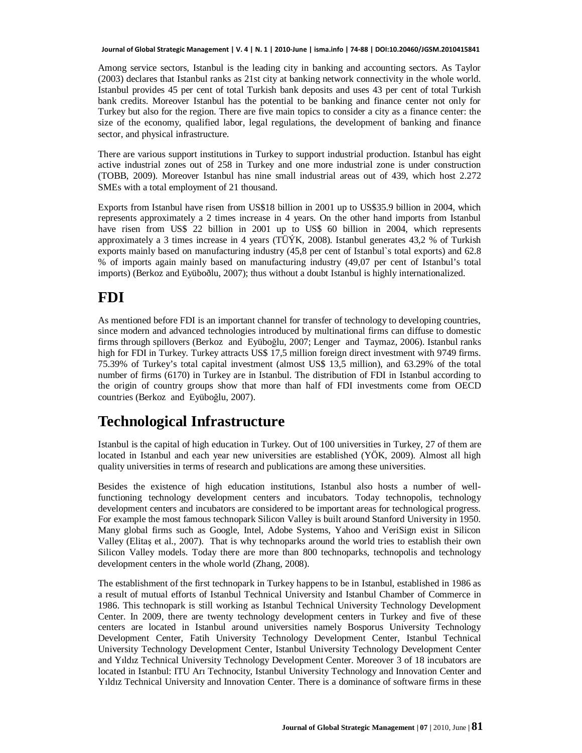Among service sectors, Istanbul is the leading city in banking and accounting sectors. As Taylor (2003) declares that Istanbul ranks as 21st city at banking network connectivity in the whole world. Istanbul provides 45 per cent of total Turkish bank deposits and uses 43 per cent of total Turkish bank credits. Moreover Istanbul has the potential to be banking and finance center not only for Turkey but also for the region. There are five main topics to consider a city as a finance center: the size of the economy, qualified labor, legal regulations, the development of banking and finance sector, and physical infrastructure.

There are various support institutions in Turkey to support industrial production. Istanbul has eight active industrial zones out of 258 in Turkey and one more industrial zone is under construction (TOBB, 2009). Moreover Istanbul has nine small industrial areas out of 439, which host 2.272 SMEs with a total employment of 21 thousand.

Exports from Istanbul have risen from US\$18 billion in 2001 up to US\$35.9 billion in 2004, which represents approximately a 2 times increase in 4 years. On the other hand imports from Istanbul have risen from US\$ 22 billion in 2001 up to US\$ 60 billion in 2004, which represents approximately a 3 times increase in 4 years (TÜÝK, 2008). Istanbul generates 43,2 % of Turkish exports mainly based on manufacturing industry (45,8 per cent of Istanbul`s total exports) and 62.8 % of imports again mainly based on manufacturing industry (49,07 per cent of Istanbul's total imports) (Berkoz and Eyüboðlu, 2007); thus without a doubt Istanbul is highly internationalized.

### **FDI**

As mentioned before FDI is an important channel for transfer of technology to developing countries, since modern and advanced technologies introduced by multinational firms can diffuse to domestic firms through spillovers (Berkoz and Eyüboğlu, 2007; Lenger and Taymaz, 2006). Istanbul ranks high for FDI in Turkey. Turkey attracts US\$ 17,5 million foreign direct investment with 9749 firms. 75.39% of Turkey's total capital investment (almost US\$ 13,5 million), and 63.29% of the total number of firms (6170) in Turkey are in Istanbul. The distribution of FDI in Istanbul according to the origin of country groups show that more than half of FDI investments come from OECD countries (Berkoz and Eyüboğlu, 2007).

### **Technological Infrastructure**

Istanbul is the capital of high education in Turkey. Out of 100 universities in Turkey, 27 of them are located in Istanbul and each year new universities are established (YÖK, 2009). Almost all high quality universities in terms of research and publications are among these universities.

Besides the existence of high education institutions, Istanbul also hosts a number of wellfunctioning technology development centers and incubators. Today technopolis, technology development centers and incubators are considered to be important areas for technological progress. For example the most famous technopark Silicon Valley is built around Stanford University in 1950. Many global firms such as Google, Intel, Adobe Systems, Yahoo and VeriSign exist in Silicon Valley (Elitaş et al., 2007). That is why technoparks around the world tries to establish their own Silicon Valley models. Today there are more than 800 technoparks, technopolis and technology development centers in the whole world (Zhang, 2008).

The establishment of the first technopark in Turkey happens to be in Istanbul, established in 1986 as a result of mutual efforts of Istanbul Technical University and Istanbul Chamber of Commerce in 1986. This technopark is still working as Istanbul Technical University Technology Development Center. In 2009, there are twenty technology development centers in Turkey and five of these centers are located in Istanbul around universities namely Bosporus University Technology Development Center, Fatih University Technology Development Center, Istanbul Technical University Technology Development Center, Istanbul University Technology Development Center and Yıldız Technical University Technology Development Center. Moreover 3 of 18 incubators are located in Istanbul: ITU Arī Technocity, Istanbul University Technology and Innovation Center and Yildiz Technical University and Innovation Center. There is a dominance of software firms in these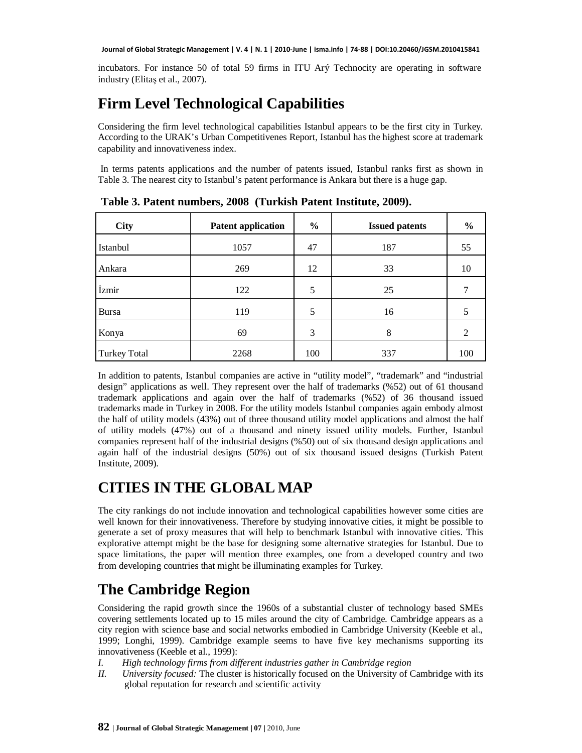incubators. For instance 50 of total 59 firms in ITU Arý Technocity are operating in software industry (Elitas et al., 2007).

## **Firm Level Technological Capabilities**

Considering the firm level technological capabilities Istanbul appears to be the first city in Turkey. According to the URAK's Urban Competitivenes Report, Istanbul has the highest score at trademark capability and innovativeness index.

 In terms patents applications and the number of patents issued, Istanbul ranks first as shown in Table 3. The nearest city to Istanbul's patent performance is Ankara but there is a huge gap.

| <b>City</b>         | <b>Patent application</b> | $\%$ | <b>Issued patents</b> | $\frac{6}{6}$ |
|---------------------|---------------------------|------|-----------------------|---------------|
| Istanbul            | 1057                      | 47   | 187                   | 55            |
| Ankara              | 269                       | 12   | 33                    | 10            |
| İzmir               | 122                       | 5    | 25                    |               |
| <b>Bursa</b>        | 119                       | 5    | 16                    |               |
| Konya               | 69                        | 3    | 8                     | 2             |
| <b>Turkey Total</b> | 2268                      | 100  | 337                   | 100           |

 **Table 3. Patent numbers, 2008 (Turkish Patent Institute, 2009).**

In addition to patents, Istanbul companies are active in "utility model", "trademark" and "industrial design" applications as well. They represent over the half of trademarks (%52) out of 61 thousand trademark applications and again over the half of trademarks (%52) of 36 thousand issued trademarks made in Turkey in 2008. For the utility models Istanbul companies again embody almost the half of utility models (43%) out of three thousand utility model applications and almost the half of utility models (47%) out of a thousand and ninety issued utility models. Further, Istanbul companies represent half of the industrial designs (%50) out of six thousand design applications and again half of the industrial designs (50%) out of six thousand issued designs (Turkish Patent Institute, 2009).

## **CITIES IN THE GLOBAL MAP**

The city rankings do not include innovation and technological capabilities however some cities are well known for their innovativeness. Therefore by studying innovative cities, it might be possible to generate a set of proxy measures that will help to benchmark Istanbul with innovative cities. This explorative attempt might be the base for designing some alternative strategies for Istanbul. Due to space limitations, the paper will mention three examples, one from a developed country and two from developing countries that might be illuminating examples for Turkey.

## **The Cambridge Region**

Considering the rapid growth since the 1960s of a substantial cluster of technology based SMEs covering settlements located up to 15 miles around the city of Cambridge. Cambridge appears as a city region with science base and social networks embodied in Cambridge University (Keeble et al., 1999; Longhi, 1999). Cambridge example seems to have five key mechanisms supporting its innovativeness (Keeble et al., 1999):

- *I. High technology firms from different industries gather in Cambridge region*
- *II. University focused:* The cluster is historically focused on the University of Cambridge with its global reputation for research and scientific activity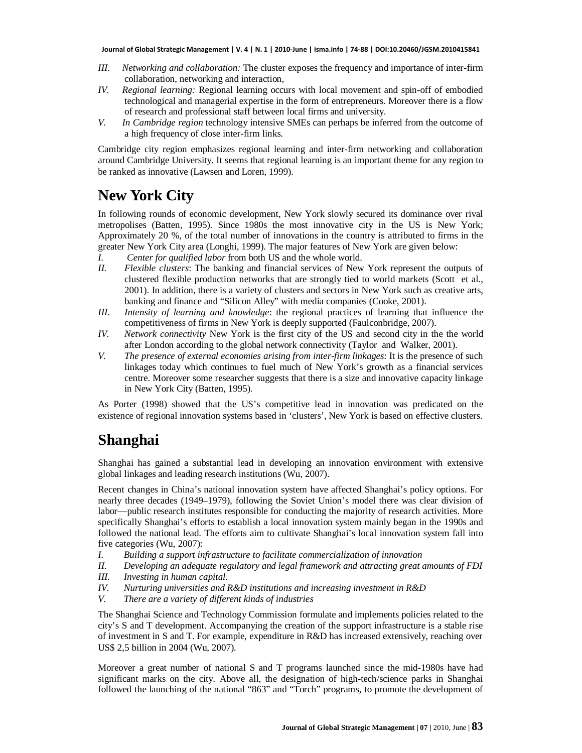- *III. Networking and collaboration:* The cluster exposes the frequency and importance of inter-firm collaboration, networking and interaction,
- *IV. Regional learning:* Regional learning occurs with local movement and spin-off of embodied technological and managerial expertise in the form of entrepreneurs. Moreover there is a flow of research and professional staff between local firms and university.
- *V. In Cambridge region* technology intensive SMEs can perhaps be inferred from the outcome of a high frequency of close inter-firm links.

Cambridge city region emphasizes regional learning and inter-firm networking and collaboration around Cambridge University. It seems that regional learning is an important theme for any region to be ranked as innovative (Lawsen and Loren, 1999).

#### **New York City**

In following rounds of economic development, New York slowly secured its dominance over rival metropolises (Batten, 1995). Since 1980s the most innovative city in the US is New York; Approximately 20 %, of the total number of innovations in the country is attributed to firms in the greater New York City area (Longhi, 1999). The major features of New York are given below:

- *I. Center for qualified labor* from both US and the whole world.<br>*II. Flexible clusters:* The banking and financial services of New
- *II. Flexible clusters*: The banking and financial services of New York represent the outputs of clustered flexible production networks that are strongly tied to world markets (Scott et al., 2001). In addition, there is a variety of clusters and sectors in New York such as creative arts, banking and finance and "Silicon Alley" with media companies (Cooke, 2001).
- *III. Intensity of learning and knowledge*: the regional practices of learning that influence the competitiveness of firms in New York is deeply supported (Faulconbridge, 2007).
- *IV. Network connectivity* New York is the first city of the US and second city in the the world after London according to the global network connectivity (Taylor and Walker, 2001).
- *V. The presence of external economies arising from inter-firm linkages*: It is the presence of such linkages today which continues to fuel much of New York's growth as a financial services centre. Moreover some researcher suggests that there is a size and innovative capacity linkage in New York City (Batten, 1995).

As Porter (1998) showed that the US's competitive lead in innovation was predicated on the existence of regional innovation systems based in 'clusters', New York is based on effective clusters.

#### **Shanghai**

Shanghai has gained a substantial lead in developing an innovation environment with extensive global linkages and leading research institutions (Wu, 2007).

Recent changes in China's national innovation system have affected Shanghai's policy options. For nearly three decades (1949–1979), following the Soviet Union's model there was clear division of labor—public research institutes responsible for conducting the majority of research activities. More specifically Shanghai's efforts to establish a local innovation system mainly began in the 1990s and followed the national lead. The efforts aim to cultivate Shanghai's local innovation system fall into five categories (Wu, 2007):

- *I. Building a support infrastructure to facilitate commercialization of innovation*
- *II. Developing an adequate regulatory and legal framework and attracting great amounts of FDI*
- *III. Investing in human capital*.
- *IV. Nurturing universities and R&D institutions and increasing investment in R&D*
- *V. There are a variety of different kinds of industries*

The Shanghai Science and Technology Commission formulate and implements policies related to the city's S and T development. Accompanying the creation of the support infrastructure is a stable rise of investment in S and T. For example, expenditure in R&D has increased extensively, reaching over US\$ 2,5 billion in 2004 (Wu, 2007).

Moreover a great number of national S and T programs launched since the mid-1980s have had significant marks on the city. Above all, the designation of high-tech/science parks in Shanghai followed the launching of the national "863" and "Torch" programs, to promote the development of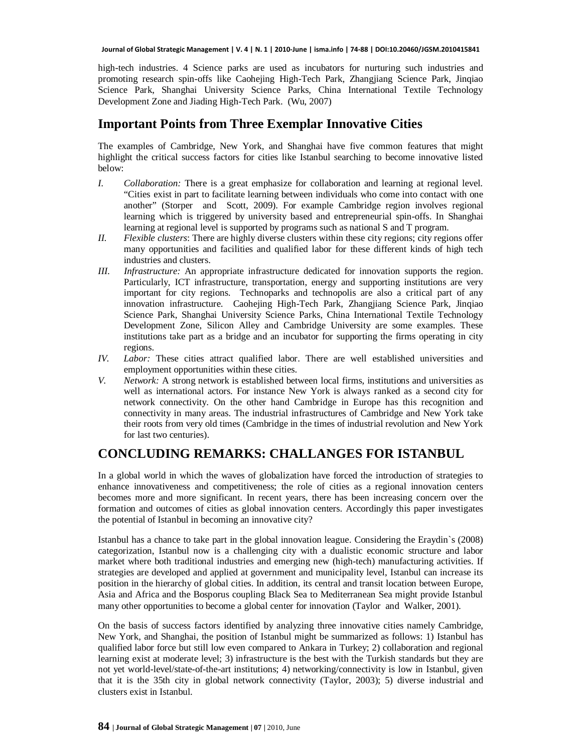high-tech industries. 4 Science parks are used as incubators for nurturing such industries and promoting research spin-offs like Caohejing High-Tech Park, Zhangjiang Science Park, Jinqiao Science Park, Shanghai University Science Parks, China International Textile Technology Development Zone and Jiading High-Tech Park. (Wu, 2007)

#### **Important Points from Three Exemplar Innovative Cities**

The examples of Cambridge, New York, and Shanghai have five common features that might highlight the critical success factors for cities like Istanbul searching to become innovative listed below:

- *I. Collaboration:* There is a great emphasize for collaboration and learning at regional level. "Cities exist in part to facilitate learning between individuals who come into contact with one another" (Storper and Scott, 2009). For example Cambridge region involves regional learning which is triggered by university based and entrepreneurial spin-offs. In Shanghai learning at regional level is supported by programs such as national S and T program.
- *II. Flexible clusters*: There are highly diverse clusters within these city regions; city regions offer many opportunities and facilities and qualified labor for these different kinds of high tech industries and clusters.
- *III. Infrastructure:* An appropriate infrastructure dedicated for innovation supports the region. Particularly, ICT infrastructure, transportation, energy and supporting institutions are very important for city regions. Technoparks and technopolis are also a critical part of any innovation infrastructure. Caohejing High-Tech Park, Zhangjiang Science Park, Jinqiao Science Park, Shanghai University Science Parks, China International Textile Technology Development Zone, Silicon Alley and Cambridge University are some examples. These institutions take part as a bridge and an incubator for supporting the firms operating in city regions.
- *IV. Labor:* These cities attract qualified labor. There are well established universities and employment opportunities within these cities.
- *V. Network:* A strong network is established between local firms, institutions and universities as well as international actors. For instance New York is always ranked as a second city for network connectivity. On the other hand Cambridge in Europe has this recognition and connectivity in many areas. The industrial infrastructures of Cambridge and New York take their roots from very old times (Cambridge in the times of industrial revolution and New York for last two centuries).

#### **CONCLUDING REMARKS: CHALLANGES FOR ISTANBUL**

In a global world in which the waves of globalization have forced the introduction of strategies to enhance innovativeness and competitiveness; the role of cities as a regional innovation centers becomes more and more significant. In recent years, there has been increasing concern over the formation and outcomes of cities as global innovation centers. Accordingly this paper investigates the potential of Istanbul in becoming an innovative city?

Istanbul has a chance to take part in the global innovation league. Considering the Eraydin`s (2008) categorization, Istanbul now is a challenging city with a dualistic economic structure and labor market where both traditional industries and emerging new (high-tech) manufacturing activities. If strategies are developed and applied at government and municipality level, Istanbul can increase its position in the hierarchy of global cities. In addition, its central and transit location between Europe, Asia and Africa and the Bosporus coupling Black Sea to Mediterranean Sea might provide Istanbul many other opportunities to become a global center for innovation (Taylor and Walker, 2001).

On the basis of success factors identified by analyzing three innovative cities namely Cambridge, New York, and Shanghai, the position of Istanbul might be summarized as follows: 1) Istanbul has qualified labor force but still low even compared to Ankara in Turkey; 2) collaboration and regional learning exist at moderate level; 3) infrastructure is the best with the Turkish standards but they are not yet world-level/state-of-the-art institutions; 4) networking/connectivity is low in Istanbul, given that it is the 35th city in global network connectivity (Taylor, 2003); 5) diverse industrial and clusters exist in Istanbul.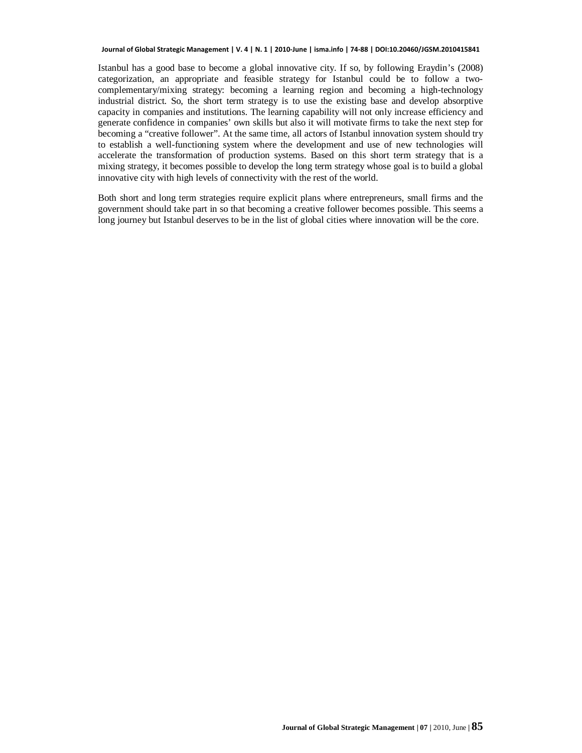Istanbul has a good base to become a global innovative city. If so, by following Eraydin's (2008) categorization, an appropriate and feasible strategy for Istanbul could be to follow a twocomplementary/mixing strategy: becoming a learning region and becoming a high-technology industrial district. So, the short term strategy is to use the existing base and develop absorptive capacity in companies and institutions. The learning capability will not only increase efficiency and generate confidence in companies' own skills but also it will motivate firms to take the next step for becoming a "creative follower". At the same time, all actors of Istanbul innovation system should try to establish a well-functioning system where the development and use of new technologies will accelerate the transformation of production systems. Based on this short term strategy that is a mixing strategy, it becomes possible to develop the long term strategy whose goal is to build a global innovative city with high levels of connectivity with the rest of the world.

Both short and long term strategies require explicit plans where entrepreneurs, small firms and the government should take part in so that becoming a creative follower becomes possible. This seems a long journey but Istanbul deserves to be in the list of global cities where innovation will be the core.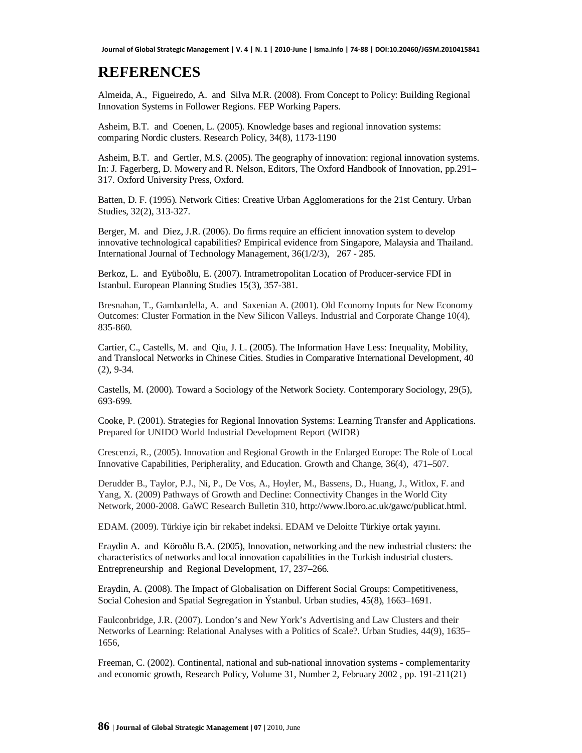### **REFERENCES**

Almeida, A., Figueiredo, A. and Silva M.R. (2008). From Concept to Policy: Building Regional Innovation Systems in Follower Regions. FEP Working Papers.

Asheim, B.T. and Coenen, L. (2005). Knowledge bases and regional innovation systems: comparing Nordic clusters. Research Policy, 34(8), 1173-1190

Asheim, B.T. and Gertler, M.S. (2005). The geography of innovation: regional innovation systems. In: J. Fagerberg, D. Mowery and R. Nelson, Editors, The Oxford Handbook of Innovation, pp.291– 317. Oxford University Press, Oxford.

Batten, D. F. (1995). Network Cities: Creative Urban Agglomerations for the 21st Century. Urban Studies, 32(2), 313-327.

Berger, M. and Diez, J.R. (2006). Do firms require an efficient innovation system to develop innovative technological capabilities? Empirical evidence from Singapore, Malaysia and Thailand. International Journal of Technology Management, 36(1/2/3), 267 - 285.

Berkoz, L. and Eyüboðlu, E. (2007). Intrametropolitan Location of Producer-service FDI in Istanbul. European Planning Studies 15(3), 357-381.

Bresnahan, T., Gambardella, A. and Saxenian A. (2001). Old Economy Inputs for New Economy Outcomes: Cluster Formation in the New Silicon Valleys. Industrial and Corporate Change 10(4), 835-860.

Cartier, C., Castells, M. and Qiu, J. L. (2005). The Information Have Less: Inequality, Mobility, and Translocal Networks in Chinese Cities. Studies in Comparative International Development, 40 (2), 9-34.

Castells, M. (2000). Toward a Sociology of the Network Society. Contemporary Sociology, 29(5), 693-699.

Cooke, P. (2001). Strategies for Regional Innovation Systems: Learning Transfer and Applications. Prepared for UNIDO World Industrial Development Report (WIDR)

Crescenzi, R., (2005). Innovation and Regional Growth in the Enlarged Europe: The Role of Local Innovative Capabilities, Peripherality, and Education. Growth and Change, 36(4), 471–507.

Derudder B., Taylor, P.J., Ni, P., De Vos, A., Hoyler, M., Bassens, D., Huang, J., Witlox, F. and Yang, X. (2009) Pathways of Growth and Decline: Connectivity Changes in the World City Network, 2000-2008. GaWC Research Bulletin 310, <http://www.lboro.ac.uk/gawc/publicat.html.>

EDAM. (2009). Türkiye için bir rekabet indeksi. EDAM ve Deloitte Türkiye ortak yayını.

Eraydin A. and Köroðlu B.A. (2005), Innovation, networking and the new industrial clusters: the characteristics of networks and local innovation capabilities in the Turkish industrial clusters. Entrepreneurship and Regional Development, 17, 237–266.

Eraydin, A. (2008). The Impact of Globalisation on Different Social Groups: Competitiveness, Social Cohesion and Spatial Segregation in Ýstanbul. Urban studies, 45(8), 1663–1691.

Faulconbridge, J.R. (2007). London's and New York's Advertising and Law Clusters and their Networks of Learning: Relational Analyses with a Politics of Scale?. Urban Studies, 44(9), 1635– 1656,

Freeman, C. (2002). Continental, national and sub-national innovation systems - complementarity and economic growth, Research Policy, Volume 31, Number 2, February 2002 , pp. 191-211(21)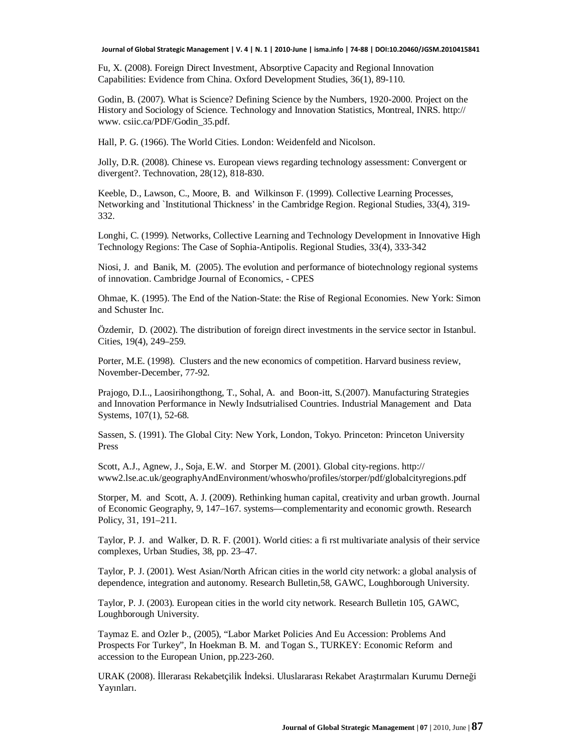Fu, X. (2008). Foreign Direct Investment, Absorptive Capacity and Regional Innovation Capabilities: Evidence from China. Oxford Development Studies, 36(1), 89-110.

Godin, B. (2007). What is Science? Defining Science by the Numbers, 1920-2000. Project on the History and Sociology of Science. Technology and Innovation Statistics, Montreal, INRS. http:// www. csiic.ca/PDF/Godin\_35.pdf.

Hall, P. G. (1966). The World Cities. London: Weidenfeld and Nicolson.

Jolly, D.R. (2008). Chinese vs. European views regarding technology assessment: Convergent or divergent?. Technovation, 28(12), 818-830.

Keeble, D., Lawson, C., Moore, B. and Wilkinson F. (1999). Collective Learning Processes, Networking and `Institutional Thickness' in the Cambridge Region. Regional Studies, 33(4), 319- 332.

Longhi, C. (1999). Networks, Collective Learning and Technology Development in Innovative High Technology Regions: The Case of Sophia-Antipolis. Regional Studies, 33(4), 333-342

Niosi, J. and Banik, M. (2005). The evolution and performance of biotechnology regional systems of innovation. Cambridge Journal of Economics, - CPES

Ohmae, K. (1995). The End of the Nation-State: the Rise of Regional Economies. New York: Simon and Schuster Inc.

Özdemir, D. (2002). The distribution of foreign direct investments in the service sector in Istanbul. Cities, 19(4), 249–259.

Porter, M.E. (1998). Clusters and the new economics of competition. Harvard business review, November-December, 77-92.

Prajogo, D.I.., Laosirihongthong, T., Sohal, A. and Boon-itt, S.(2007). Manufacturing Strategies and Innovation Performance in Newly Indsutrialised Countries. Industrial Management and Data Systems, 107(1), 52-68.

Sassen, S. (1991). The Global City: New York, London, Tokyo. Princeton: Princeton University Press

Scott, A.J., Agnew, J., Soja, E.W. and Storper M. (2001). Global city-regions. http:// www2.lse.ac.uk/geographyAndEnvironment/whoswho/profiles/storper/pdf/globalcityregions.pdf

Storper, M. and Scott, A. J. (2009). Rethinking human capital, creativity and urban growth. Journal of Economic Geography, 9, 147–167. systems—complementarity and economic growth. Research Policy, 31, 191–211.

Taylor, P. J. and Walker, D. R. F. (2001). World cities: a fi rst multivariate analysis of their service complexes, Urban Studies, 38, pp. 23–47.

Taylor, P. J. (2001). West Asian/North African cities in the world city network: a global analysis of dependence, integration and autonomy. Research Bulletin,58, GAWC, Loughborough University.

Taylor, P. J. (2003). European cities in the world city network. Research Bulletin 105, GAWC, Loughborough University.

Taymaz E. and Ozler Þ., (2005), "Labor Market Policies And Eu Accession: Problems And Prospects For Turkey", In Hoekman B. M. and Togan S., TURKEY: Economic Reform and accession to the European Union, pp.223-260.

URAK (2008). İllerarası Rekabetçilik İndeksi. Uluslararası Rekabet Araştırmaları Kurumu Derneği Yayınları.